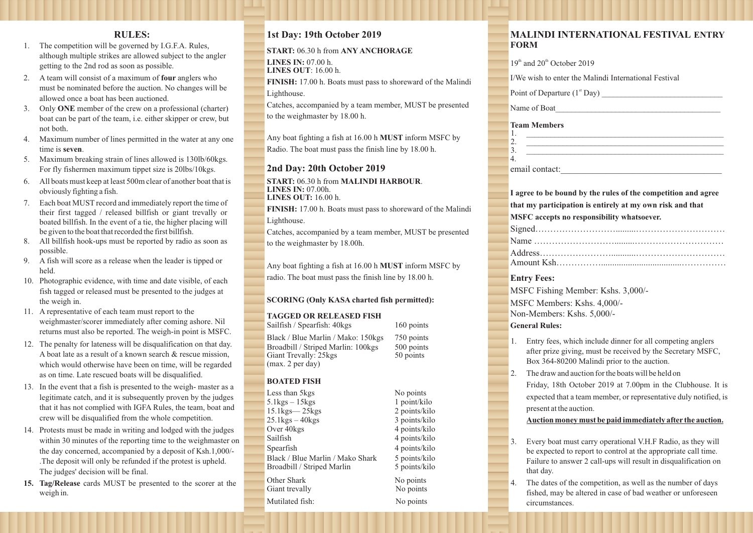## **RULES:**

- 1. The competition will be governed by I.G.F.A. Rules, although multiple strikes are allowed subject to the angler getting to the 2nd rod as soon as possible.
- 2. A team will consist of a maximum of **four** anglers who must be nominated before the auction. No changes will be allowed once a boat has been auctioned.
- 3. Only **ONE** member of the crew on a professional (charter) boat can be part of the team, i.e. either skipper or crew, but not both.
- 4. Maximum number of lines permitted in the water at any one time is **seven**.
- 5. Maximum breaking strain of lines allowed is 130lb/60kgs. For fly fishermen maximum tippet size is 20lbs/10kgs.
- 6. All boats must keep at least 500m clear of another boat that is obviously fighting a fish.
- 7. Each boat MUST record and immediately report the time of their first tagged / released billfish or giant trevally or boated billfish. In the event of a tie, the higher placing will be given to the boat that recorded the first billfish.
- 8. All billfish hook-ups must be reported by radio as soon as possible.
- 9. A fish will score as a release when the leader is tipped or held.
- 10. Photographic evidence, with time and date visible, of each fish tagged or released must be presented to the judges at the weigh in.
- 11. A representative of each team must report to the weighmaster/scorer immediately after coming ashore. Nil returns must also be reported. The weigh-in point is MSFC.
- 12. The penalty for lateness will be disqualification on that day. A boat late as a result of a known search & rescue mission, which would otherwise have been on time, will be regarded as on time. Late rescued boats will be disqualified.
- 13. In the event that a fish is presented to the weigh- master as a legitimate catch, and it is subsequently proven by the judges that it has not complied with IGFA Rules, the team, boat and crew will be disqualified from the whole competition.
- 14. Protests must be made in writing and lodged with the judges within 30 minutes of the reporting time to the weighmaster on the day concerned, accompanied by a deposit of Ksh.1,000/- .The deposit will only be refunded if the protest is upheld. The judges' decision will be final.
- **15. Tag/Release** cards MUST be presented to the scorer at the weigh in.

## **1st Day: 19th October 2019**

**START:** 06.30 h from **ANY ANCHORAGE LINES IN:** 07.00 h. **LINES OUT**: 16.00 h.

**FINISH:** 17.00 h. Boats must pass to shoreward of the Malindi Lighthouse.

Catches, accompanied by a team member, MUST be presented to the weighmaster by 18.00 h.

Any boat fighting a fish at 16.00 h **MUST** inform MSFC by

Radio. The boat must pass the finish line by 18.00 h.

### **2nd Day: 20th October 2019**

**START:** 06.30 h from **MALINDI HARBOUR**. **LINES IN:** 07.00h. **LINES OUT:** 16.00 h.

**FINISH:** 17.00 h. Boats must pass to shoreward of the Malindi Lighthouse.

Catches, accompanied by a team member, MUST be presented to the weighmaster by 18.00h.

Any boat fighting a fish at 16.00 h **MUST** inform MSFC by radio. The boat must pass the finish line by 18.00 h.

#### **SCORING (Only KASA charted fish permitted):**

#### **TAGGED OR RELEASED FISH**

Sailfish / Spearfish: 40kgs 160 points Black / Blue Marlin / Mako: 150kgs 750 points Broadbill / Striped Marlin: 100kgs 500 points<br>Giant Trevally: 25kgs 50 points Giant Trevally: 25 kgs (max. 2 per day)

#### **BOATED FISH**

Less than 5kgs No points 5.1kgs – 15kgs 1 point/kilo<br>15.1kgs – 25kgs 2 points/kilo  $15.1$ kgs— $25$ kgs 25.1kgs – 40kgs 3 points/kilo<br>Over 40kgs 3 4 points/kilo 4 points/kilo Sailfish 4 points/kilo Spearfish 4 points/kilo Black / Blue Marlin / Mako Shark 5 points/kilo<br>Broadbill / Striped Marlin 5 points/kilo Broadbill / Striped Marlin Other Shark No points Giant trevally No points

Mutilated fish: No points

## **MALINDI INTERNATIONAL FESTIVAL ENTRY FORM**

| 19 <sup>th</sup> and 20 <sup>th</sup> October 2019                                                                                                                             |
|--------------------------------------------------------------------------------------------------------------------------------------------------------------------------------|
|                                                                                                                                                                                |
| I/We wish to enter the Malindi International Festival                                                                                                                          |
| Point of Departure $(1st$ Day)                                                                                                                                                 |
| Name of Boat                                                                                                                                                                   |
| <b>Team Members</b><br>1.<br>2.<br>3.<br>4.<br>email contact:                                                                                                                  |
|                                                                                                                                                                                |
| I agree to be bound by the rules of the competition and agree                                                                                                                  |
| that my participation is entirely at my own risk and that                                                                                                                      |
| MSFC accepts no responsibility whatsoever.                                                                                                                                     |
|                                                                                                                                                                                |
|                                                                                                                                                                                |
|                                                                                                                                                                                |
|                                                                                                                                                                                |
| <b>Entry Fees:</b>                                                                                                                                                             |
| MSFC Fishing Member: Kshs. 3,000/-                                                                                                                                             |
| MSFC Members: Kshs. 4,000/-                                                                                                                                                    |
| Non-Members: Kshs. 5,000/-                                                                                                                                                     |
| <b>General Rules:</b>                                                                                                                                                          |
| 1.<br>Entry fees, which include dinner for all competing anglers<br>after prize giving, must be received by the Secretary MSFC,<br>Box 364-80200 Malindi prior to the auction. |
| The draw and auction for the boats will be held on<br>2.                                                                                                                       |
| Friday, 18th October 2019 at 7.00pm in the Clubhouse. It is                                                                                                                    |
| expected that a team member, or representative duly notified, is                                                                                                               |
| present at the auction.                                                                                                                                                        |
| Auction money must be paid immediately after the auction.                                                                                                                      |
|                                                                                                                                                                                |
| Every boat must carry operational V.H.F Radio, as they will<br>3.<br>be expected to report to control at the appropriate call time.                                            |
| Failure to answer 2 call-ups will result in disqualification on                                                                                                                |
| that day.                                                                                                                                                                      |
| 4.<br>The dates of the competition, as well as the number of days<br>fished, may be altered in case of bad weather or unforeseen                                               |

circumstances.